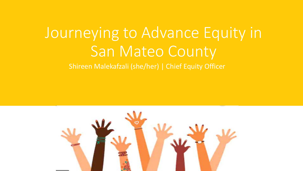## Journeying to Advance Equity in San Mateo County Shireen Malekafzali (she/her) | Chief Equity Officer

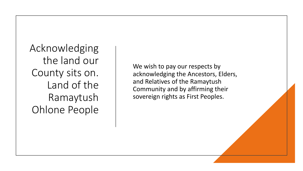Acknowledging the land our County sits on. Land of the Ramaytush Ohlone People

We wish to pay our respects by acknowledging the Ancestors, Elders, and Relatives of the Ramaytush Community and by affirming their sovereign rights as First Peoples.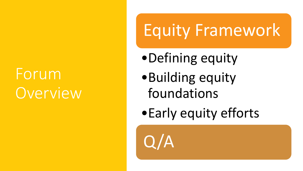# Forum **Overview**

# Equity Framework

- •Defining equity
- •Building equity foundations
- •Early equity efforts

 $\boldsymbol{\mathsf{A}}$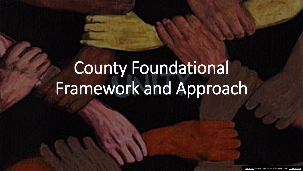# County Foundational Framework and Approach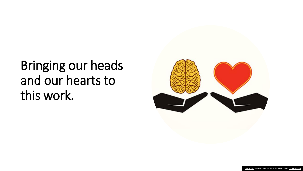## Bringing our heads and our hearts to this work.

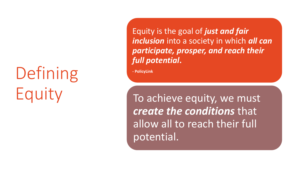# Defining Equity

Equity is the goal of *just and fair inclusion* into a society in which *all can participate, prosper, and reach their full potential***.**

**- PolicyLink**

To achieve equity, we must *create the conditions* that allow all to reach their full potential.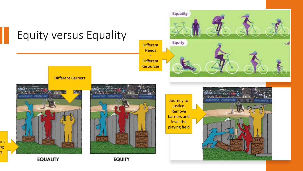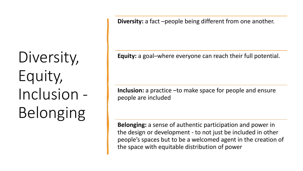Diversity, Equity, Inclusion - Belonging

**Diversity:** a fact –people being different from one another.

**Equity:** a goal–where everyone can reach their full potential.

**Inclusion:** a practice –to make space for people and ensure people are included

**Belonging:** a sense of authentic participation and power in the design or development - to not just be included in other people's spaces but to be a welcomed agent in the creation of the space with equitable distribution of power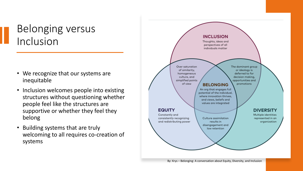### Belonging versus Inclusion

- We recognize that our systems are inequitable
- Inclusion welcomes people into existing structures without questioning whether people feel like the structures are supportive or whether they feel they belong
- Building systems that are truly welcoming to all requires co-creation of systems

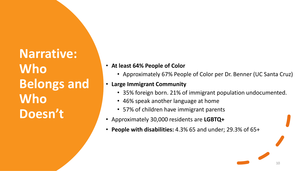**Narrative: Who Belongs and Who Doesn't**

- **At least 64% People of Color**
	- Approximately 67% People of Color per Dr. Benner (UC Santa Cruz)

#### • **Large Immigrant Community**

• 35% foreign born. 21% of immigrant population undocumented.

10

- 46% speak another language at home
- 57% of children have immigrant parents
- Approximately 30,000 residents are **LGBTQ+**
- **People with disabilities:** 4.3% 65 and under; 29.3% of 65+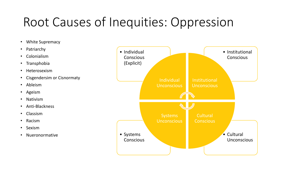## Root Causes of Inequities: Oppression

- White Supremacy
- Patriarchy
- Colonialism
- Transphobia
- Heterosexism
- Cisgendersim or Cisnormaty
- Ableism
- Ageism
- Nativism
- Anti-Blackness
- Classism
- Racism
- Sexism
- 

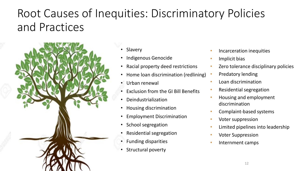### Root Causes of Inequities: Discriminatory Policies and Practices



• Slavery

- Indigenous Genocide
- Racial property deed restrictions
- Home loan discrimination (redlining)
- Urban renewal
- Exclusion from the GI Bill Benefits
- Deindustrialization
- Housing discrimination
- Employment Discrimination
- School segregation
- Residential segregation
- Funding disparities
- Structural poverty
- Incarceration inequities
- Implicit bias
- Zero tolerance disciplinary policies
- Predatory lending
- Loan discrimination
- Residential segregation
- Housing and employment discrimination
- Complaint-based systems
- Voter suppression
- Limited pipelines into leadership
- Voter Suppression
- Internment camps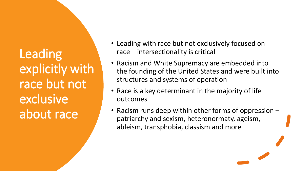Leading explicitly with race but not exclusive about race

- Leading with race but not exclusively focused on race – intersectionality is critical
- Racism and White Supremacy are embedded into the founding of the United States and were built into structures and systems of operation
- Race is a key determinant in the majority of life outcomes
- Racism runs deep within other forms of oppression patriarchy and sexism, heteronormaty, ageism, ableism, transphobia, classism and more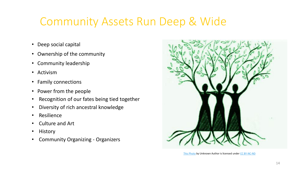### Community Assets Run Deep & Wide

- Deep social capital
- Ownership of the community
- Community leadership
- Activism
- Family connections
- Power from the people
- Recognition of our fates being tied together
- Diversity of rich ancestral knowledge
- **Resilience**
- Culture and Art
- History
- Community Organizing Organizers



[This Photo](http://intercontinentalcry.org/women-come-together-to-end-sexual-violence) by Unknown Author is licensed under [CC BY-NC-ND](https://creativecommons.org/licenses/by-nc-nd/3.0/)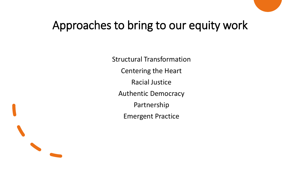### Approaches to bring to our equity work

Structural Transformation Centering the Heart Racial Justice Authentic Democracy Partnership Emergent Practice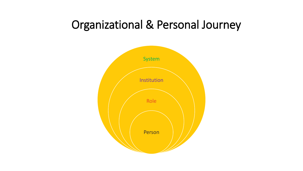### Organizational & Personal Journey

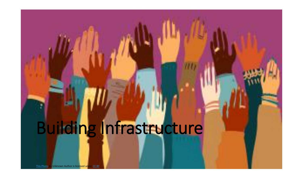# Building Infrastructure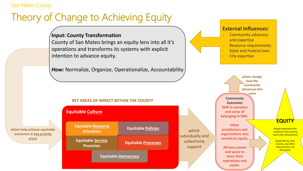#### *San Mateo County*

### Theory of Change to Achieving Equity

#### **Input: County Transformation**

County of San Mateo brings an equity lens into all it's operations and transforms its systems with explicit intention to advance equity.

*How:* Normalize, Organize, Operationalize, Accountability

#### **External Influences:**

- Community advocacy and expertise
- Resource requirements
- State and Federal laws
- City expertise

which

collectively support



#### **KEY AREAS OF IMPACT WITHIN THE COUNTY**

#### **KEY AREAS OF IMPACT Equitable Culture**

**which help achieve equitable outcomes in key priority areas**

**Equitable Service Equitable Service Provision Provision Equitable Policies Equitable Processes Equitable Resource Allocation**

**Equitable Democracy Equitable Democracy**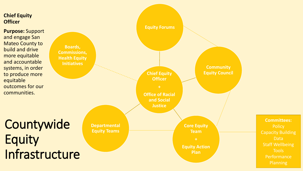

**Purpose:** Support and engage San Mateo County to build and drive more equitable and accountable systems, in order to produce more equitable outcomes for our communities.

Countywide Equity Infrastructure

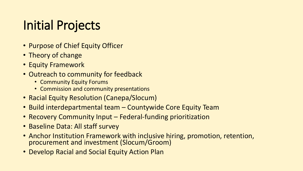## Initial Projects

- Purpose of Chief Equity Officer
- Theory of change
- Equity Framework
- Outreach to community for feedback
	- Community Equity Forums
	- Commission and community presentations
- Racial Equity Resolution (Canepa/Slocum)
- Build interdepartmental team Countywide Core Equity Team
- Recovery Community Input Federal-funding prioritization
- Baseline Data: All staff survey
- Anchor Institution Framework with inclusive hiring, promotion, retention, procurement and investment (Slocum/Groom)
- Develop Racial and Social Equity Action Plan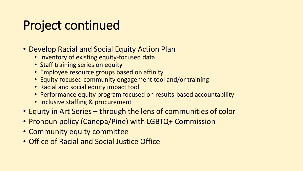## Project continued

- Develop Racial and Social Equity Action Plan
	- Inventory of existing equity-focused data
	- Staff training series on equity
	- Employee resource groups based on affinity
	- Equity-focused community engagement tool and/or training
	- Racial and social equity impact tool
	- Performance equity program focused on results-based accountability
	- Inclusive staffing & procurement
- Equity in Art Series through the lens of communities of color
- Pronoun policy (Canepa/Pine) with LGBTQ+ Commission
- Community equity committee
- Office of Racial and Social Justice Office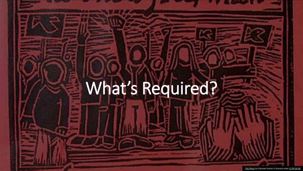# What's Required?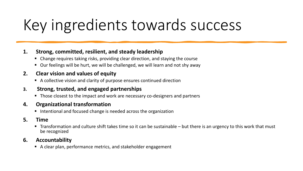# Key ingredients towards success

#### **1. Strong, committed, resilient, and steady leadership**

- Change requires taking risks, providing clear direction, and staying the course
- Our feelings will be hurt, we will be challenged, we will learn and not shy away

#### **2. Clear vision and values of equity**

■ A collective vision and clarity of purpose ensures continued direction

#### **3. Strong, trusted, and engaged partnerships**

■ Those closest to the impact and work are necessary co-designers and partners

#### **4. Organizational transformation**

■ Intentional and focused change is needed across the organization

#### **5. Time**

**Transformation and culture shift takes time so it can be sustainable – but there is an urgency to this work that must** be recognized

#### **6. Accountability**

■ A clear plan, performance metrics, and stakeholder engagement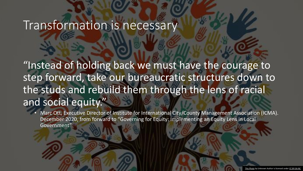### Transformation is necessary

"Instead of holding back we must have the courage to step forward, take our bureaucratic structures down to the studs and rebuild them through the lens of racial and social equity."

• Marc Ott, Executive Director of Institute for International City/County Management Association (ICMA). December 2020, from forward to "Governing for Equity: Implementing an Equity Lens in Local Government"